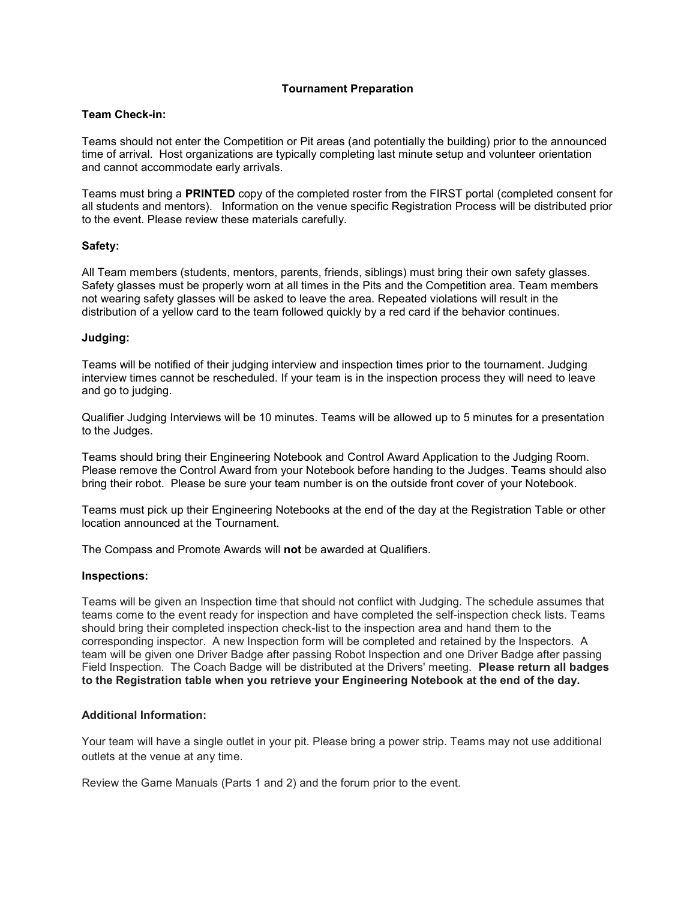# Tournament Preparation

### Team Check-in:

Teams should not enter the Competition or Pit areas (and potentially the building) prior to the announced time of arrival. Host organizations are typically completing last minute setup and volunteer orientation and cannot accommodate early arrivals.

Teams must bring a PRINTED copy of the completed roster from the FIRST portal (completed consent for all students and mentors). Information on the venue specific Registration Process will be distributed prior to the event. Please review these materials carefully.

## Safety:

All Team members (students, mentors, parents, friends, siblings) must bring their own safety glasses. Safety glasses must be properly worn at all times in the Pits and the Competition area. Team members not wearing safety glasses will be asked to leave the area. Repeated violations will result in the distribution of a yellow card to the team followed quickly by a red card if the behavior continues.

#### Judging:

Teams will be notified of their judging interview and inspection times prior to the tournament. Judging interview times cannot be rescheduled. If your team is in the inspection process they will need to leave and go to judging.

Qualifier Judging Interviews will be 10 minutes. Teams will be allowed up to 5 minutes for a presentation to the Judges.

Teams should bring their Engineering Notebook and Control Award Application to the Judging Room. Please remove the Control Award from your Notebook before handing to the Judges. Teams should also bring their robot. Please be sure your team number is on the outside front cover of your Notebook.

Teams must pick up their Engineering Notebooks at the end of the day at the Registration Table or other location announced at the Tournament.

The Compass and Promote Awards will not be awarded at Qualifiers.

## Inspections:

Teams will be given an Inspection time that should not conflict with Judging. The schedule assumes that teams come to the event ready for inspection and have completed the self-inspection check lists. Teams should bring their completed inspection check-list to the inspection area and hand them to the corresponding inspector. A new Inspection form will be completed and retained by the Inspectors. A team will be given one Driver Badge after passing Robot Inspection and one Driver Badge after passing Field Inspection. The Coach Badge will be distributed at the Drivers' meeting. Please return all badges to the Registration table when you retrieve your Engineering Notebook at the end of the day.

## Additional Information:

Your team will have a single outlet in your pit. Please bring a power strip. Teams may not use additional outlets at the venue at any time.

Review the Game Manuals (Parts 1 and 2) and the forum prior to the event.